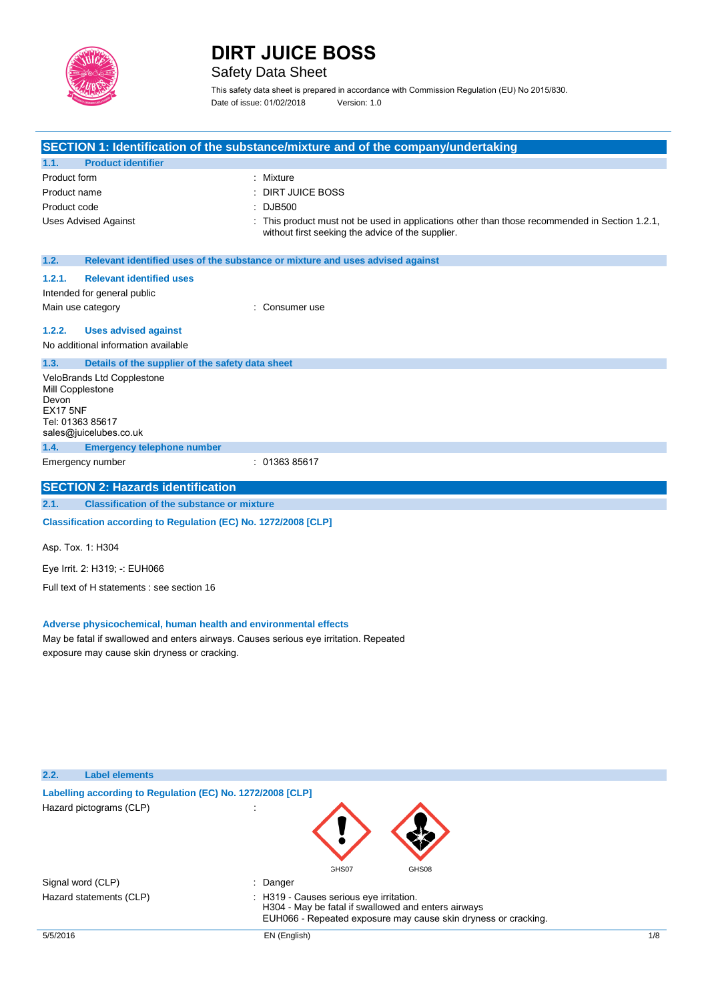

## Safety Data Sheet

This safety data sheet is prepared in accordance with Commission Regulation (EU) No 2015/830. Date of issue: 01/02/2018 Version: 1.0

|                                                                                                                                                                                                          |                                                                 | SECTION 1: Identification of the substance/mixture and of the company/undertaking                                                                              |
|----------------------------------------------------------------------------------------------------------------------------------------------------------------------------------------------------------|-----------------------------------------------------------------|----------------------------------------------------------------------------------------------------------------------------------------------------------------|
| 1.1.                                                                                                                                                                                                     | <b>Product identifier</b>                                       |                                                                                                                                                                |
| Product form                                                                                                                                                                                             |                                                                 | : Mixture                                                                                                                                                      |
| Product name                                                                                                                                                                                             |                                                                 | <b>DIRT JUICE BOSS</b>                                                                                                                                         |
| Product code                                                                                                                                                                                             |                                                                 | <b>DJB500</b>                                                                                                                                                  |
|                                                                                                                                                                                                          | <b>Uses Advised Against</b>                                     | This product must not be used in applications other than those recommended in Section 1.2.1,<br>without first seeking the advice of the supplier.              |
| 1.2.                                                                                                                                                                                                     |                                                                 | Relevant identified uses of the substance or mixture and uses advised against                                                                                  |
| 1.2.1.                                                                                                                                                                                                   | <b>Relevant identified uses</b>                                 |                                                                                                                                                                |
|                                                                                                                                                                                                          | Intended for general public                                     |                                                                                                                                                                |
| Main use category                                                                                                                                                                                        |                                                                 | Consumer use                                                                                                                                                   |
| 1.2.2.                                                                                                                                                                                                   | <b>Uses advised against</b>                                     |                                                                                                                                                                |
|                                                                                                                                                                                                          | No additional information available                             |                                                                                                                                                                |
| 1.3.                                                                                                                                                                                                     | Details of the supplier of the safety data sheet                |                                                                                                                                                                |
| Mill Copplestone<br>Devon<br><b>EX17 5NF</b><br>Tel: 01363 85617                                                                                                                                         | VeloBrands Ltd Copplestone<br>sales@juicelubes.co.uk            |                                                                                                                                                                |
| 1.4.                                                                                                                                                                                                     | <b>Emergency telephone number</b>                               |                                                                                                                                                                |
|                                                                                                                                                                                                          | Emergency number                                                | : 0136385617                                                                                                                                                   |
|                                                                                                                                                                                                          | <b>SECTION 2: Hazards identification</b>                        |                                                                                                                                                                |
| 2.1.                                                                                                                                                                                                     | <b>Classification of the substance or mixture</b>               |                                                                                                                                                                |
|                                                                                                                                                                                                          | Classification according to Regulation (EC) No. 1272/2008 [CLP] |                                                                                                                                                                |
| Asp. Tox. 1: H304                                                                                                                                                                                        |                                                                 |                                                                                                                                                                |
|                                                                                                                                                                                                          | Eye Irrit. 2: H319; -: EUH066                                   |                                                                                                                                                                |
|                                                                                                                                                                                                          | Full text of H statements : see section 16                      |                                                                                                                                                                |
| Adverse physicochemical, human health and environmental effects<br>May be fatal if swallowed and enters airways. Causes serious eye irritation. Repeated<br>exposure may cause skin dryness or cracking. |                                                                 |                                                                                                                                                                |
| 2.2.                                                                                                                                                                                                     | <b>Label elements</b>                                           |                                                                                                                                                                |
|                                                                                                                                                                                                          | Labelling according to Regulation (EC) No. 1272/2008 [CLP]      |                                                                                                                                                                |
|                                                                                                                                                                                                          | Hazard pictograms (CLP)                                         | GHS07<br>GHS08                                                                                                                                                 |
| Signal word (CLP)                                                                                                                                                                                        |                                                                 | Danger                                                                                                                                                         |
|                                                                                                                                                                                                          | Hazard statements (CLP)                                         | H319 - Causes serious eye irritation.<br>H304 - May be fatal if swallowed and enters airways<br>EUH066 - Repeated exposure may cause skin dryness or cracking. |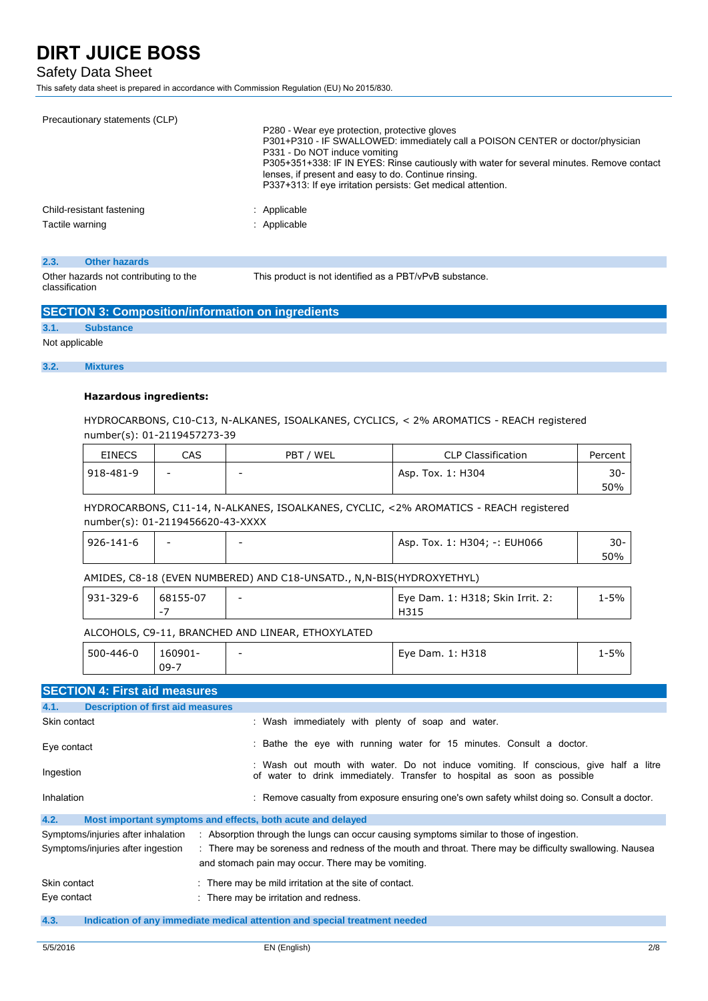## Safety Data Sheet

This safety data sheet is prepared in accordance with Commission Regulation (EU) No 2015/830.

| Precautionary statements (CLP) | P280 - Wear eye protection, protective gloves<br>P301+P310 - IF SWALLOWED: immediately call a POISON CENTER or doctor/physician<br>P331 - Do NOT induce vomiting<br>P305+351+338: IF IN EYES: Rinse cautiously with water for several minutes. Remove contact<br>lenses, if present and easy to do. Continue rinsing.<br>P337+313: If eye irritation persists: Get medical attention. |
|--------------------------------|---------------------------------------------------------------------------------------------------------------------------------------------------------------------------------------------------------------------------------------------------------------------------------------------------------------------------------------------------------------------------------------|
| Child-resistant fastening      | : Applicable                                                                                                                                                                                                                                                                                                                                                                          |
| Tactile warning                | : Applicable                                                                                                                                                                                                                                                                                                                                                                          |
|                                |                                                                                                                                                                                                                                                                                                                                                                                       |

#### **2.3. Other hazards**

Other hazards not contributing to the classification

This product is not identified as a PBT/vPvB substance.

## **SECTION 3: Composition/information on ingredients**

**3.1. Substance**

## Not applicable

### **3.2. Mixtures**

## **Hazardous ingredients:**

HYDROCARBONS, C10-C13, N-ALKANES, ISOALKANES, CYCLICS, < 2% AROMATICS - REACH registered number(s): 01-2119457273-39

| <b>EINECS</b> | CAS                      | PBT / WEL | <b>CLP Classification</b> | Percent |
|---------------|--------------------------|-----------|---------------------------|---------|
| 918-481-9     | $\overline{\phantom{a}}$ | $\sim$    | Asp. Tox. 1: H304         | $30 -$  |
|               |                          |           |                           | 50%     |

HYDROCARBONS, C11-14, N-ALKANES, ISOALKANES, CYCLIC, <2% AROMATICS - REACH registered number(s): 01-2119456620-43-XXXX

| 926-141-6 | $\overline{\phantom{0}}$ | - | Asp. Tox. 1: H304; -: EUH066 | 30- |
|-----------|--------------------------|---|------------------------------|-----|
|           |                          |   |                              | 50% |

AMIDES, C8-18 (EVEN NUMBERED) AND C18-UNSATD., N,N-BIS(HYDROXYETHYL)

| 931-329-6 | 68155-07 | Eye Dam. 1: H318; Skin Irrit. 2: | ' -5% |
|-----------|----------|----------------------------------|-------|
|           |          | H31.                             |       |

## ALCOHOLS, C9-11, BRANCHED AND LINEAR, ETHOXYLATED

| 500-446-0 | -60901<br>$09 - 7$ | $\overline{\phantom{0}}$ | Eye Dam. 1: H318 | $1 - 5%$ |
|-----------|--------------------|--------------------------|------------------|----------|
|           |                    |                          |                  |          |

## **SECTION 4: First aid measures**

| <b>Description of first aid measures</b><br>4.1. |                                                                                                                                                                 |
|--------------------------------------------------|-----------------------------------------------------------------------------------------------------------------------------------------------------------------|
| Skin contact                                     | : Wash immediately with plenty of soap and water.                                                                                                               |
| Eye contact                                      | : Bathe the eye with running water for 15 minutes. Consult a doctor.                                                                                            |
| Ingestion                                        | : Wash out mouth with water. Do not induce vomiting. If conscious, give half a litre<br>of water to drink immediately. Transfer to hospital as soon as possible |
| Inhalation                                       | : Remove casualty from exposure ensuring one's own safety whilst doing so. Consult a doctor.                                                                    |
| 4.2.                                             | Most important symptoms and effects, both acute and delayed                                                                                                     |
| Symptoms/injuries after inhalation               | : Absorption through the lungs can occur causing symptoms similar to those of ingestion.                                                                        |
| Symptoms/injuries after ingestion                | : There may be soreness and redness of the mouth and throat. There may be difficulty swallowing. Nausea<br>and stomach pain may occur. There may be vomiting.   |
| Skin contact                                     | : There may be mild irritation at the site of contact.                                                                                                          |
| Eye contact                                      | : There may be irritation and redness.                                                                                                                          |
| 4.3.                                             | Indication of any immediate medical attention and special treatment needed                                                                                      |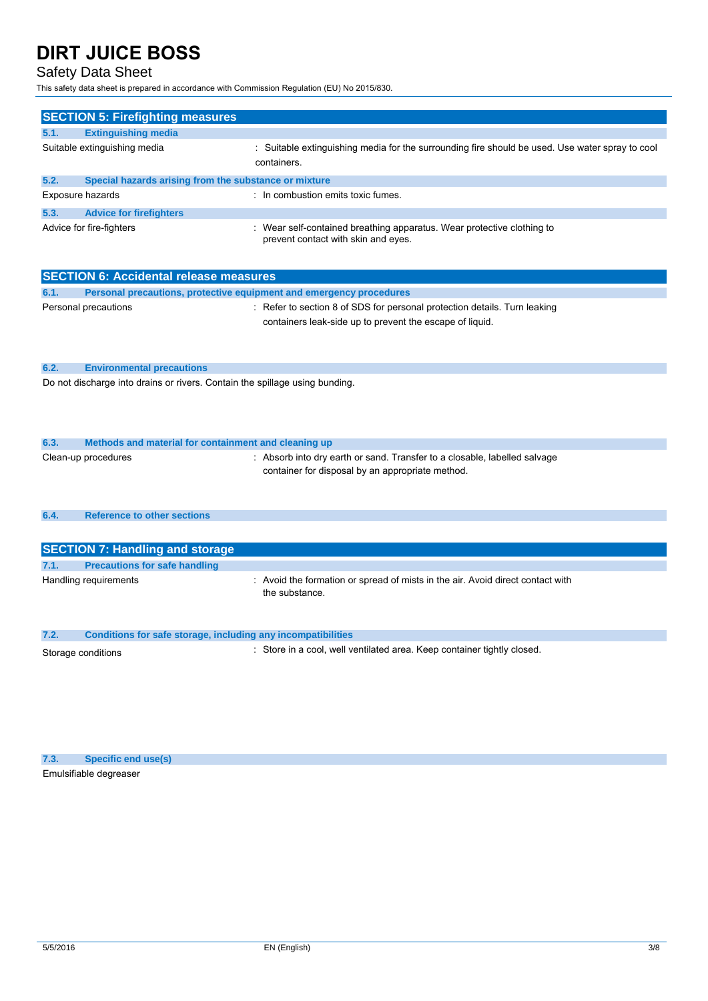## Safety Data Sheet

This safety data sheet is prepared in accordance with Commission Regulation (EU) No 2015/830.

|                  | <b>SECTION 5: Firefighting measures</b>               |                                                                                                                |  |  |  |
|------------------|-------------------------------------------------------|----------------------------------------------------------------------------------------------------------------|--|--|--|
| 5.1.             | <b>Extinguishing media</b>                            |                                                                                                                |  |  |  |
|                  | Suitable extinguishing media                          | : Suitable extinguishing media for the surrounding fire should be used. Use water spray to cool<br>containers. |  |  |  |
| 5.2.             | Special hazards arising from the substance or mixture |                                                                                                                |  |  |  |
| Exposure hazards |                                                       | : In combustion emits toxic fumes.                                                                             |  |  |  |
| 5.3.             | <b>Advice for firefighters</b>                        |                                                                                                                |  |  |  |
|                  | Advice for fire-fighters                              | Wear self-contained breathing apparatus. Wear protective clothing to<br>prevent contact with skin and eyes.    |  |  |  |

|      | <b>SECTION 6: Accidental release measures</b>                               |                                                                                                                                       |  |  |  |
|------|-----------------------------------------------------------------------------|---------------------------------------------------------------------------------------------------------------------------------------|--|--|--|
| 6.1. |                                                                             | Personal precautions, protective equipment and emergency procedures                                                                   |  |  |  |
|      | Personal precautions                                                        | : Refer to section 8 of SDS for personal protection details. Turn leaking<br>containers leak-side up to prevent the escape of liquid. |  |  |  |
| 6.2. | <b>Environmental precautions</b>                                            |                                                                                                                                       |  |  |  |
|      | Do not discharge into drains or rivers. Contain the spillage using bunding. |                                                                                                                                       |  |  |  |

| 6.3. | Methods and material for containment and cleaning up |                                                                                                                               |
|------|------------------------------------------------------|-------------------------------------------------------------------------------------------------------------------------------|
|      | Clean-up procedures                                  | : Absorb into dry earth or sand. Transfer to a closable, labelled salvage<br>container for disposal by an appropriate method. |

```
6.4. Reference to other sections
```

| <b>SECTION 7: Handling and storage</b> |                                      |                                                                                                  |
|----------------------------------------|--------------------------------------|--------------------------------------------------------------------------------------------------|
| 7.1.                                   | <b>Precautions for safe handling</b> |                                                                                                  |
|                                        | Handling requirements                | : Avoid the formation or spread of mists in the air. Avoid direct contact with<br>the substance. |

| 7.2.               | Conditions for safe storage, including any incompatibilities            |
|--------------------|-------------------------------------------------------------------------|
| Storage conditions | : Store in a cool, well ventilated area. Keep container tightly closed. |

**7.3. Specific end use(s)** Emulsifiable degreaser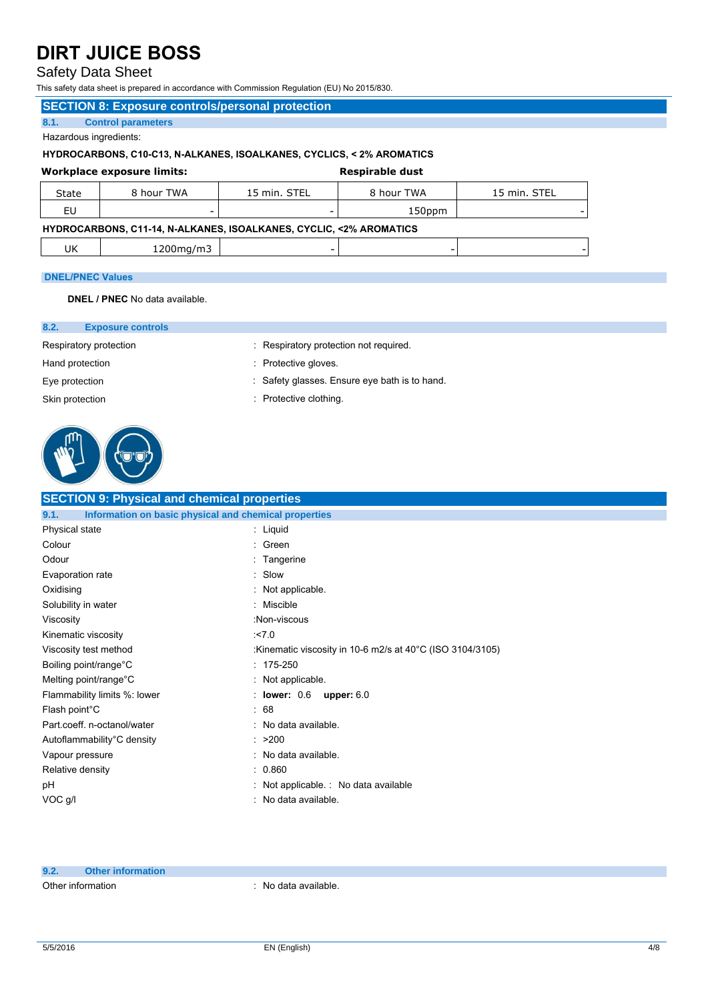## Safety Data Sheet

This safety data sheet is prepared in accordance with Commission Regulation (EU) No 2015/830.

### **SECTION 8: Exposure controls/personal protection**

**8.1. Control parameters**

Hazardous ingredients:

## **HYDROCARBONS, C10-C13, N-ALKANES, ISOALKANES, CYCLICS, < 2% AROMATICS**

|       | Workplace exposure limits: |              | Respirable dust |              |
|-------|----------------------------|--------------|-----------------|--------------|
| State | 8 hour TWA                 | 15 min. STEL | 8 hour TWA      | 15 min. STEL |
|       | -                          |              | 150ppm          |              |

## **HYDROCARBONS, C11-14, N-ALKANES, ISOALKANES, CYCLIC, <2% AROMATICS**

| ີ<br>$\ddotsc$<br>-- |
|----------------------|
|----------------------|

: Respiratory protection not required.

: Safety glasses. Ensure eye bath is to hand.

: Protective gloves.

: Protective clothing.

#### **DNEL/PNEC Values**

**DNEL / PNEC** No data available.

#### **8.2. Exposure controls**

Respiratory protection

Hand protection

Eye protection

Skin protection



- **SECTION 9: Physical and chemical properties 9.1. Information on basic physical and chemical properties** Physical state Colour **Odour** Evaporation rate **Oxidising** Solubility in water Viscosity Kinematic viscosity Viscosity test method Boiling point/range°C Melting point/range°C Flammability limits %: lower Flash point°C Part.coeff. n-octanol/water Autoflammability°C density : Liquid : Green : Tangerine : Slow : Not applicable. : Miscible :Non-viscous :<7.0 :Kinematic viscosity in 10-6 m2/s at 40°C (ISO 3104/3105) : 175-250 : Not applicable. : **lower:** 0.6 **upper:** 6.0 : 68 : No data available.  $\cdot$  >200
	- : No data available.

: 0.860

: Not applicable. : No data available

: No data available.

**9.2. Other information**

Vapour pressure Relative density

pH VOC g/l

Other information **interest in the contract of the CO** contract of the CO contract of the CO contract of the CO contract of the CO contract of the CO contract of the CO contract of the CO contract of the CO contract of the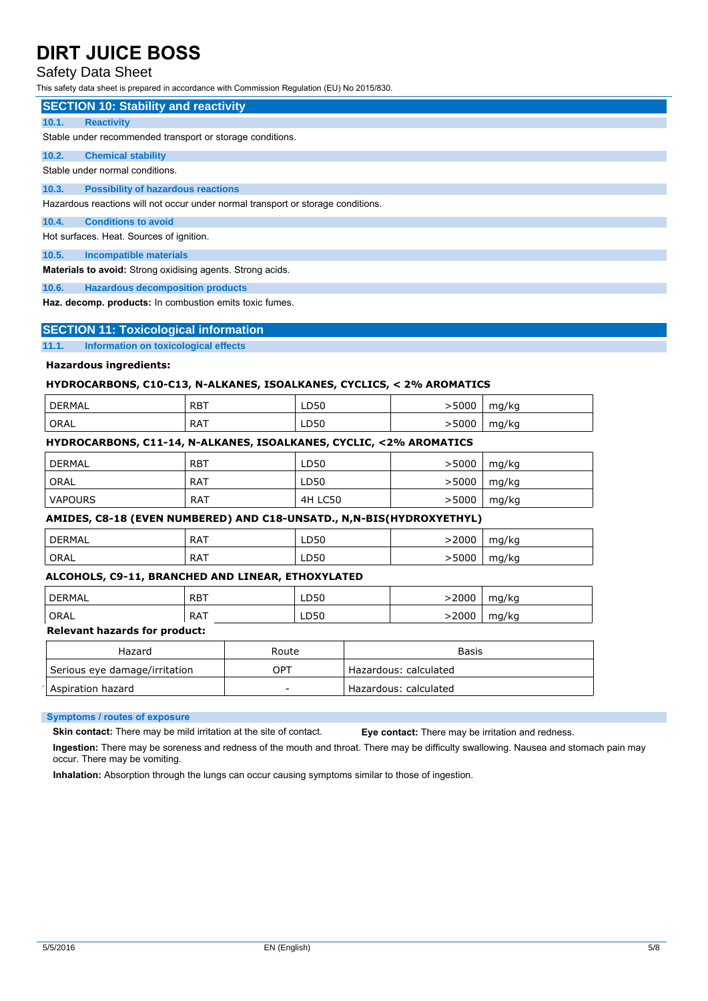## Safety Data Sheet

This safety data sheet is prepared in accordance with Commission Regulation (EU) No 2015/830.

|       | <b>SECTION 10: Stability and reactivity</b>                                      |
|-------|----------------------------------------------------------------------------------|
| 10.1. | <b>Reactivity</b>                                                                |
|       | Stable under recommended transport or storage conditions.                        |
| 10.2. | <b>Chemical stability</b>                                                        |
|       | Stable under normal conditions.                                                  |
| 10.3. | <b>Possibility of hazardous reactions</b>                                        |
|       | Hazardous reactions will not occur under normal transport or storage conditions. |
| 10.4. | <b>Conditions to avoid</b>                                                       |
|       | Hot surfaces. Heat. Sources of ignition.                                         |
| 10.5. | <b>Incompatible materials</b>                                                    |
|       | Materials to avoid: Strong oxidising agents. Strong acids.                       |
| 10.6. | <b>Hazardous decomposition products</b>                                          |

**Haz. decomp. products:** In combustion emits toxic fumes.

### **SECTION 11: Toxicological information**

#### **11.1. Information on toxicological effects**

## **Hazardous ingredients:**

## **HYDROCARBONS, C10-C13, N-ALKANES, ISOALKANES, CYCLICS, < 2% AROMATICS**

| DERMAL <sup>'</sup> | . RBT      | LD50 | 5000 | mg/kg |
|---------------------|------------|------|------|-------|
| ' ORAL              | <b>RAT</b> | LD50 | 5000 | mg/kg |

## **HYDROCARBONS, C11-14, N-ALKANES, ISOALKANES, CYCLIC, <2% AROMATICS**

| ' DERMAL       | <b>RBT</b> | LD50           | >5000  | mg/kg |
|----------------|------------|----------------|--------|-------|
| ORAL           | <b>RAT</b> | LD50           | > 5000 | mg/kg |
| <b>VAPOURS</b> | <b>RAT</b> | <b>4H LC50</b> | >5000  | mg/kg |

### **AMIDES, C8-18 (EVEN NUMBERED) AND C18-UNSATD., N,N-BIS(HYDROXYETHYL)**

| <b>DERMAL</b> | <b>RAT</b> | LD50 | 2000  | mg/kg |
|---------------|------------|------|-------|-------|
| ORAL          | RAT        | LD50 | 5000ء | mg/kg |

#### **ALCOHOLS, C9-11, BRANCHED AND LINEAR, ETHOXYLATED**

| <b>DERMAL</b><br><b>RBT</b>          |            | LD50  |      | >2000                 | mg/kg                 |       |
|--------------------------------------|------------|-------|------|-----------------------|-----------------------|-------|
| ORAL                                 | <b>RAT</b> |       | LD50 |                       | >2000                 | mg/kg |
| <b>Relevant hazards for product:</b> |            |       |      |                       |                       |       |
| Hazard                               |            | Route |      |                       | Basis                 |       |
| Serious eye damage/irritation        |            | OPT   |      |                       | Hazardous: calculated |       |
| Aspiration hazard                    |            |       |      | Hazardous: calculated |                       |       |

#### **Symptoms / routes of exposure**

**Skin contact:** There may be mild irritation at the site of contact.

**Eye contact:** There may be irritation and redness.

**Ingestion:** There may be soreness and redness of the mouth and throat. There may be difficulty swallowing. Nausea and stomach pain may occur. There may be vomiting.

**Inhalation:** Absorption through the lungs can occur causing symptoms similar to those of ingestion.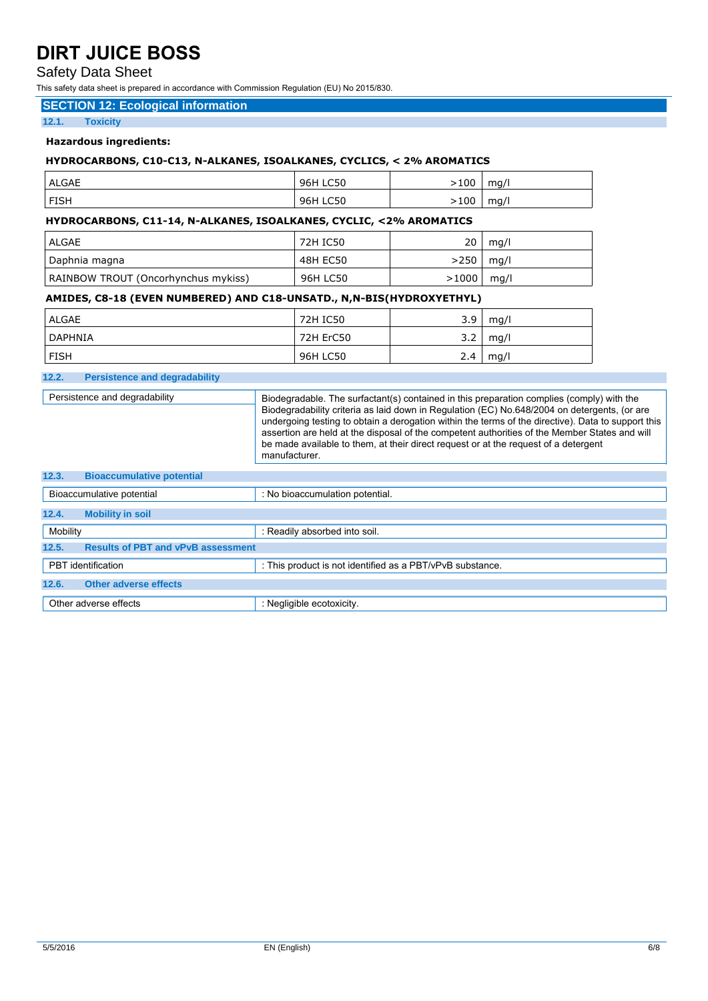## Safety Data Sheet

This safety data sheet is prepared in accordance with Commission Regulation (EU) No 2015/830.

## **SECTION 12: Ecological information**

**12.1. Toxicity** 

### **Hazardous ingredients:**

## **HYDROCARBONS, C10-C13, N-ALKANES, ISOALKANES, CYCLICS, < 2% AROMATICS**

| <b>ALGAE</b> | <b>LC50</b><br>96H I | $-100$      | mq/ |
|--------------|----------------------|-------------|-----|
| <b>FISH</b>  | <b>LC50</b><br>96H I | $\cdot 100$ | mg/ |

### **HYDROCARBONS, C11-14, N-ALKANES, ISOALKANES, CYCLIC, <2% AROMATICS**

| ALGAE                               | 72H IC50 | 20    | mq/l |
|-------------------------------------|----------|-------|------|
| Daphnia magna                       | 48H EC50 | >250  | mq/l |
| RAINBOW TROUT (Oncorhynchus mykiss) | 96H LC50 | >1000 | mq/l |

## **AMIDES, C8-18 (EVEN NUMBERED) AND C18-UNSATD., N,N-BIS(HYDROXYETHYL)**

| ALGAE       | 72H IC50  | 3.9 | mq/l |
|-------------|-----------|-----|------|
| DAPHNIA     | 72H ErC50 | 3.2 | mq/l |
| <b>FISH</b> | 96H LC50  | 2.4 | mg/l |

#### **12.2. Persistence and degradability**

Persistence and degradability **Biodegradable. The surfactant(s)** contained in this preparation complies (comply) with the Biodegradability criteria as laid down in Regulation (EC) No.648/2004 on detergents, (or are undergoing testing to obtain a derogation within the terms of the directive). Data to support this assertion are held at the disposal of the competent authorities of the Member States and will be made available to them, at their direct request or at the request of a detergent manufacturer.

| <b>Bioaccumulative potential</b><br>12.3. |                                                           |  |  |
|-------------------------------------------|-----------------------------------------------------------|--|--|
| Bioaccumulative potential                 | : No bioaccumulation potential.                           |  |  |
| <b>Mobility in soil</b><br>12.4.          |                                                           |  |  |
| Mobility                                  | : Readily absorbed into soil.                             |  |  |
| 12.5.                                     | <b>Results of PBT and vPvB assessment</b>                 |  |  |
| PBT identification                        | : This product is not identified as a PBT/vPvB substance. |  |  |
| <b>Other adverse effects</b><br>12.6.     |                                                           |  |  |
| Other adverse effects                     | : Negligible ecotoxicity.                                 |  |  |